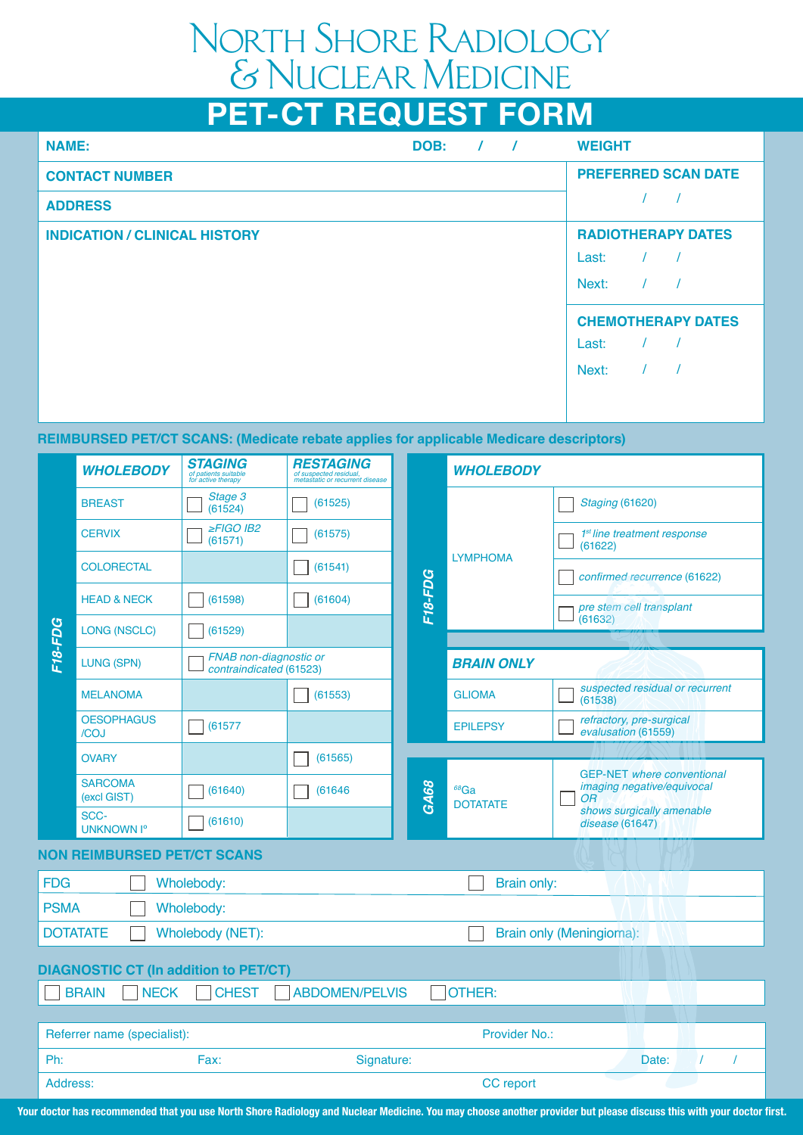## North Shore Radiology & Nuclear Medicine

# **PET-CT REQUEST FORM**

| <b>NAME:</b>                         | DOB: | $\prime$ | $\overline{\phantom{a}}$ | <b>WEIGHT</b>              |
|--------------------------------------|------|----------|--------------------------|----------------------------|
| <b>CONTACT NUMBER</b>                |      |          |                          | <b>PREFERRED SCAN DATE</b> |
| <b>ADDRESS</b>                       |      |          |                          |                            |
| <b>INDICATION / CLINICAL HISTORY</b> |      |          |                          | <b>RADIOTHERAPY DATES</b>  |
|                                      |      |          |                          | $\frac{1}{2}$<br>Last:     |
|                                      |      |          |                          | $\prime$<br>Next:          |
|                                      |      |          |                          | <b>CHEMOTHERAPY DATES</b>  |
|                                      |      |          |                          | Last:                      |
|                                      |      |          |                          | Next:                      |
|                                      |      |          |                          |                            |
|                                      |      |          |                          |                            |

#### **REIMBURSED PET/CT SCANS: (Medicate rebate applies for applicable Medicare descriptors)**

|                                                                                       | <b>WHOLEBODY</b>                             | <b>STAGING</b><br>of patients suitable<br>for active therapy | <b>RESTAGING</b><br>of suspected residual,<br>metastatic or recurrent disease |         | <b>WHOLEBODY</b>           |                                                                       |  |
|---------------------------------------------------------------------------------------|----------------------------------------------|--------------------------------------------------------------|-------------------------------------------------------------------------------|---------|----------------------------|-----------------------------------------------------------------------|--|
| F18-FDG                                                                               | <b>BREAST</b>                                | Stage 3<br>(61524)                                           | (61525)                                                                       |         |                            | <b>Staging (61620)</b>                                                |  |
|                                                                                       | <b>CERVIX</b>                                | $\geq$ FIGO IB2<br>(61571)                                   | (61575)                                                                       |         | <b>LYMPHOMA</b>            | 1 <sup>st</sup> line treatment response<br>(61622)                    |  |
|                                                                                       | <b>COLORECTAL</b>                            |                                                              | (61541)                                                                       |         |                            | confirmed recurrence (61622)                                          |  |
|                                                                                       | <b>HEAD &amp; NECK</b>                       | (61598)                                                      | (61604)                                                                       | F18-FDG |                            | pre stem cell transplant                                              |  |
|                                                                                       | LONG (NSCLC)                                 | (61529)                                                      |                                                                               |         |                            | (61632)                                                               |  |
|                                                                                       | LUNG (SPN)                                   | FNAB non-diagnostic or<br>contraindicated (61523)            |                                                                               |         | <b>BRAIN ONLY</b>          |                                                                       |  |
|                                                                                       | <b>MELANOMA</b>                              |                                                              | (61553)                                                                       |         | <b>GLIOMA</b>              | suspected residual or recurrent<br>(61538)                            |  |
|                                                                                       | <b>OESOPHAGUS</b><br>/COJ                    | (61577)                                                      |                                                                               |         | <b>EPILEPSY</b>            | refractory, pre-surgical<br>evalusation (61559)                       |  |
|                                                                                       | <b>OVARY</b>                                 |                                                              | (61565)                                                                       |         |                            |                                                                       |  |
|                                                                                       | <b>SARCOMA</b><br>(excl GIST)                | (61640)                                                      | (61646)                                                                       | GA68    | $68$ Ga<br><b>DOTATATE</b> | <b>GEP-NET</b> where conventional<br>imaging negative/equivocal<br>OR |  |
|                                                                                       | SCC-<br><b>UNKNOWN Iº</b>                    | (61610)                                                      |                                                                               |         |                            | shows surgically amenable<br>disease (61647)                          |  |
| <b>NON REIMBURSED PET/CT SCANS</b>                                                    |                                              |                                                              |                                                                               |         |                            |                                                                       |  |
| Brain only:<br><b>FDG</b><br>Wholebody:                                               |                                              |                                                              |                                                                               |         |                            |                                                                       |  |
| <b>PSMA</b><br>Wholebody:                                                             |                                              |                                                              |                                                                               |         |                            |                                                                       |  |
| <b>DOTATATE</b><br>Brain only (Meningioma):<br>Wholebody (NET):                       |                                              |                                                              |                                                                               |         |                            |                                                                       |  |
| <b>DIAGNOSTIC CT (In addition to PET/CT)</b>                                          |                                              |                                                              |                                                                               |         |                            |                                                                       |  |
| <b>BRAIN</b><br><b>NECK</b><br><b>CHEST</b><br><b>ABDOMEN/PELVIS</b><br><b>OTHER:</b> |                                              |                                                              |                                                                               |         |                            |                                                                       |  |
|                                                                                       |                                              |                                                              |                                                                               |         |                            |                                                                       |  |
|                                                                                       | Provider No.:<br>Referrer name (specialist): |                                                              |                                                                               |         |                            |                                                                       |  |
| Ph:                                                                                   |                                              | Fax:                                                         | Signature:                                                                    |         |                            | $\prime$<br>Date:<br>$\prime$                                         |  |
| Address:                                                                              |                                              |                                                              |                                                                               |         | <b>CC</b> report           |                                                                       |  |